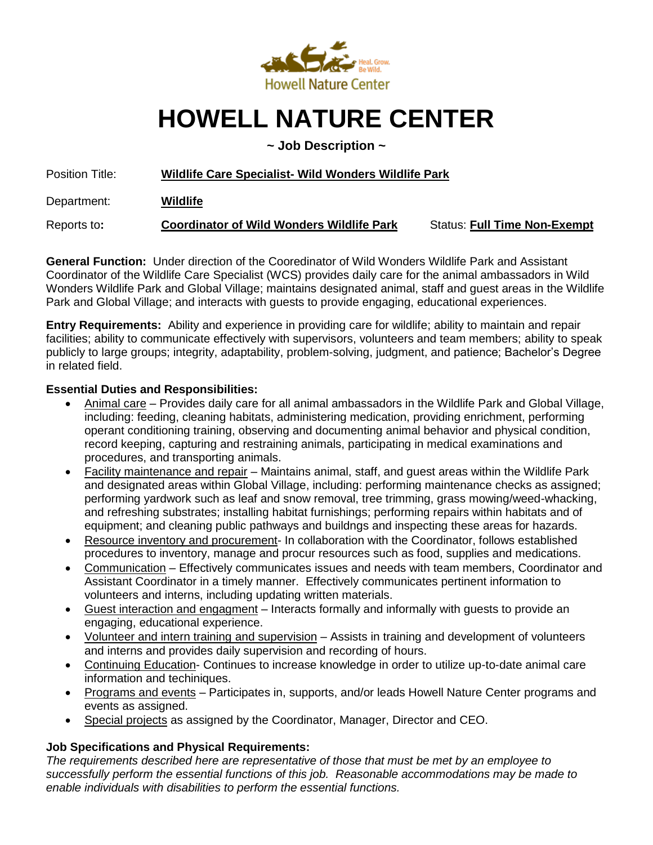

# **HOWELL NATURE CENTER**

**~ Job Description ~**

Position Title: **Wildlife Care Specialist- Wild Wonders Wildlife Park** 

Department: **Wildlife**

Reports to**: Coordinator of Wild Wonders Wildlife Park** Status: **Full Time Non-Exempt**

**General Function:** Under direction of the Cooredinator of Wild Wonders Wildlife Park and Assistant Coordinator of the Wildlife Care Specialist (WCS) provides daily care for the animal ambassadors in Wild Wonders Wildlife Park and Global Village; maintains designated animal, staff and guest areas in the Wildlife Park and Global Village; and interacts with guests to provide engaging, educational experiences.

**Entry Requirements:** Ability and experience in providing care for wildlife; ability to maintain and repair facilities; ability to communicate effectively with supervisors, volunteers and team members; ability to speak publicly to large groups; integrity, adaptability, problem-solving, judgment, and patience; Bachelor's Degree in related field.

#### **Essential Duties and Responsibilities:**

- Animal care Provides daily care for all animal ambassadors in the Wildlife Park and Global Village, including: feeding, cleaning habitats, administering medication, providing enrichment, performing operant conditioning training, observing and documenting animal behavior and physical condition, record keeping, capturing and restraining animals, participating in medical examinations and procedures, and transporting animals.
- Facility maintenance and repair Maintains animal, staff, and guest areas within the Wildlife Park and designated areas within Global Village, including: performing maintenance checks as assigned; performing yardwork such as leaf and snow removal, tree trimming, grass mowing/weed-whacking, and refreshing substrates; installing habitat furnishings; performing repairs within habitats and of equipment; and cleaning public pathways and buildngs and inspecting these areas for hazards.
- Resource inventory and procurement- In collaboration with the Coordinator, follows established procedures to inventory, manage and procur resources such as food, supplies and medications.
- Communication Effectively communicates issues and needs with team members, Coordinator and Assistant Coordinator in a timely manner. Effectively communicates pertinent information to volunteers and interns, including updating written materials.
- Guest interaction and engagment Interacts formally and informally with guests to provide an engaging, educational experience.
- Volunteer and intern training and supervision Assists in training and development of volunteers and interns and provides daily supervision and recording of hours.
- Continuing Education- Continues to increase knowledge in order to utilize up-to-date animal care information and techiniques.
- Programs and events Participates in, supports, and/or leads Howell Nature Center programs and events as assigned.
- Special projects as assigned by the Coordinator, Manager, Director and CEO.

### **Job Specifications and Physical Requirements:**

*The requirements described here are representative of those that must be met by an employee to successfully perform the essential functions of this job. Reasonable accommodations may be made to enable individuals with disabilities to perform the essential functions.*